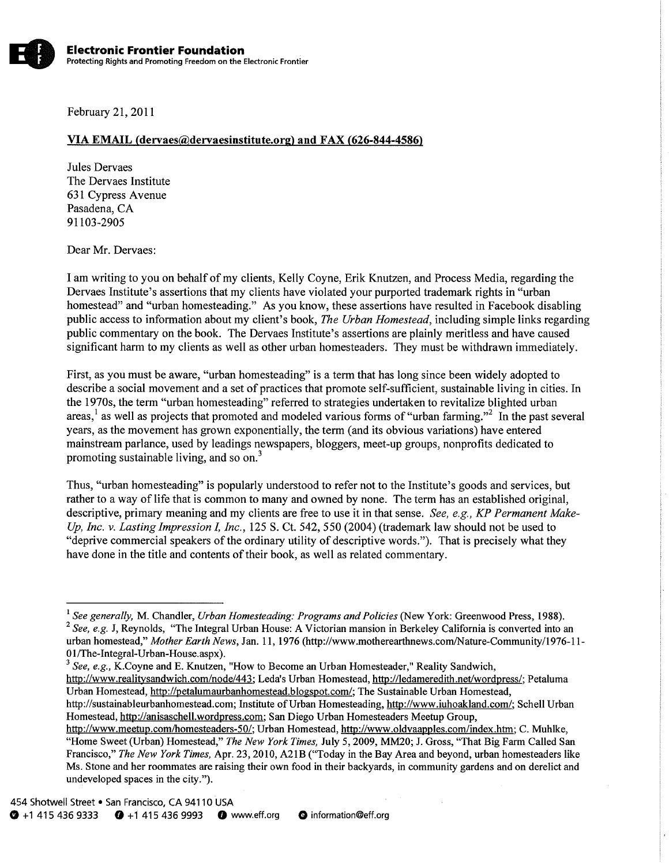February Zl,201l

## YIA EMAIL (dervaes@deruaesinstitute.ore) and FAX 1626-844-4586)

Jules Dervaes The Dervaes Institute 631 Cypress Avenue Pasadena, CA 91103-2905

Dear Mr. Dervaes:

I am writing to you on behalf of my clients, Kelly Coyne, Erik Knutzen, and Process Media, regarding the Dervaes Institute's assertions that my clients have violated your purported trademark rights in "urban homestead" and "urban homesteading." As you know, these assertions have resulted in Facebook disabling public access to information about my client's book, The Urban Homestead, including simple links regarding public commentary on the book. The Dervaes Institute's assertions are plainly meritless and have caused significant harm to my clients as well as other urban homesteaders. They must be withdrawn immediately.

First, as you must be aware, "urban homesteading" is a term that has long since been widely adopted to describe a social movement and a set of practices that promote self-sufficient, sustainable living in cities. In the 1970s, the term "urban homesteading" referred to strategies undertaken to revitalize blighted urban areas,<sup>1</sup> as well as projects that promoted and modeled various forms of "urban farming."<sup>2</sup> In the past several years, as the movement has grown exponentially, the term (and its obvious variations) have entered mainstream parlance, used by leadings newspapers, bloggers, meet-up groups, nonprofits dedicated to promoting sustainable living, and so on.<sup>3</sup>

Thus, "urban homesteading" is popularly understood to refer not to the Institute's goods and services, but rather to a way of life that is common to many and owned by none. The term has an established original, descriptive, primary meaning and my clients are free to use it in that sense. See, e.g., KP Permanent Make-Up, Inc. v. Lasting Impression I, Inc., 125 S. Ct. 542, 550 (2004) (trademark law should not be used to "deprive commercial speakers of the ordinary utility of descriptive words."). That is precisely what they have done in the title and contents of their book. as well as related commentary.

 $\frac{3}{3}$  See, e.g., K.Coyne and E. Knutzen, "How to Become an Urban Homesteader," Reality Sandwich,

<sup>&</sup>lt;sup>1</sup> See generally, M. Chandler, Urban Homesteading: Programs and Policies (New York: Greenwood Press, 1988).  $2$  See, e.g. J, Reynolds, "The Integral Urban House: A Victorian mansion in Berkeley California is converted into an urban homestead," Mother Earth News, Jan. 11, 1976 (http://www.motherearthnews.com/Nature-Community/1976-11-01/The-Integral-Urban-House.aspx).

http://www.realitysandwich.com/node/443; Leda's Urban Homestead, http://ledameredith.net/wordpress/; Petaluma Urban Homestead, http://petalumaurbanhomestead.blogspot.com/; The Sustainable Urban Homestead,

http://sustainableurbanhomestead.com; Institute of Urban Homesteading, http://www.iuhoakland.com/; Schell Urban Homestead, http://anisaschell.wordpress.com; San Diego Urban Homesteaders Meetup Group,

http://www.meetup.com/homesteaders-50/; Urban Homestead, http://www.oldvaapples.com/index.htm; C. Muhlke, "Home Sweet (Urban) Homestead," The New York Times, July 5, 2009, MM20; J. Gross, "That Big Farm Called San Francisco," The New York Times, Apr. 23, 2010, A21B ("Today in the Bay Area and beyond, urban homesteaders like Ms. Stone and her roommates are raising their own food in their backyards, in community gardens and on derelict and undeveloped spaces in the city.").